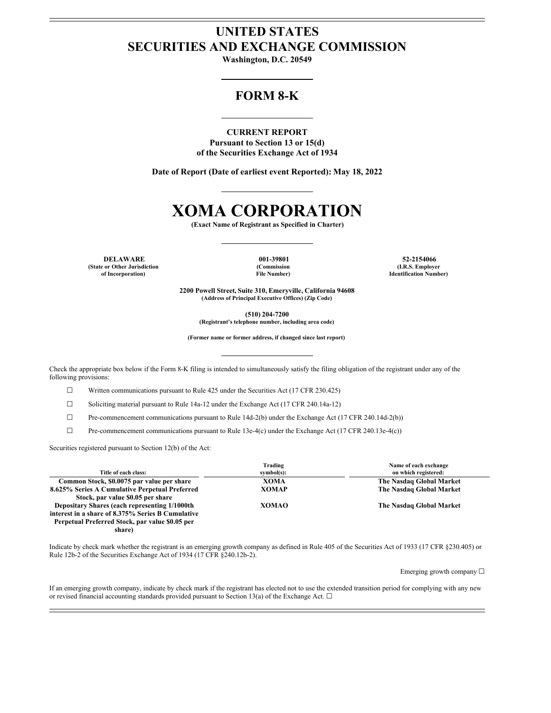# **UNITED STATES SECURITIES AND EXCHANGE COMMISSION**

**Washington, D.C. 20549**

## **FORM 8-K**

**CURRENT REPORT Pursuant to Section 13 or 15(d) of the Securities Exchange Act of 1934**

**Date of Report (Date of earliest event Reported): May 18, 2022**

# **XOMA CORPORATION**

**(Exact Name of Registrant as Specified in Charter)**

**DELAWARE 001-39801 52-2154066 (State or Other Jurisdiction of Incorporation)**

**(Commission File Number)**

**(I.R.S. Employer Identification Number)**

**2200 Powell Street, Suite 310, Emeryville, California 94608 (Address of Principal Executive Offices) (Zip Code)**

**(510) 204-7200**

**(Registrant's telephone number, including area code)**

**(Former name or former address, if changed since last report)**

Check the appropriate box below if the Form 8-K filing is intended to simultaneously satisfy the filing obligation of the registrant under any of the following provisions:

☐ Written communications pursuant to Rule 425 under the Securities Act (17 CFR 230.425)

 $\Box$  Soliciting material pursuant to Rule 14a-12 under the Exchange Act (17 CFR 240.14a-12)

☐ Pre-commencement communications pursuant to Rule 14d-2(b) under the Exchange Act (17 CFR 240.14d-2(b))

☐ Pre-commencement communications pursuant to Rule 13e-4(c) under the Exchange Act (17 CFR 240.13e-4(c))

Securities registered pursuant to Section 12(b) of the Act:

| Title of each class:                              | Trading<br>$symbol(s)$ : | Name of each exchange<br>on which registered: |
|---------------------------------------------------|--------------------------|-----------------------------------------------|
| Common Stock, \$0.0075 par value per share        | <b>XOMA</b>              | The Nasdaq Global Market                      |
| 8.625% Series A Cumulative Perpetual Preferred    | <b>XOMAP</b>             | The Nasdaq Global Market                      |
| Stock, par value \$0.05 per share                 |                          |                                               |
| Depositary Shares (each representing 1/1000th     | <b>XOMAO</b>             | The Nasdaq Global Market                      |
| interest in a share of 8.375% Series B Cumulative |                          |                                               |
| Perpetual Preferred Stock, par value \$0.05 per   |                          |                                               |
| share)                                            |                          |                                               |

Indicate by check mark whether the registrant is an emerging growth company as defined in Rule 405 of the Securities Act of 1933 (17 CFR §230.405) or Rule 12b-2 of the Securities Exchange Act of 1934 (17 CFR §240.12b-2).

Emerging growth company ☐

If an emerging growth company, indicate by check mark if the registrant has elected not to use the extended transition period for complying with any new or revised financial accounting standards provided pursuant to Section 13(a) of the Exchange Act.  $\Box$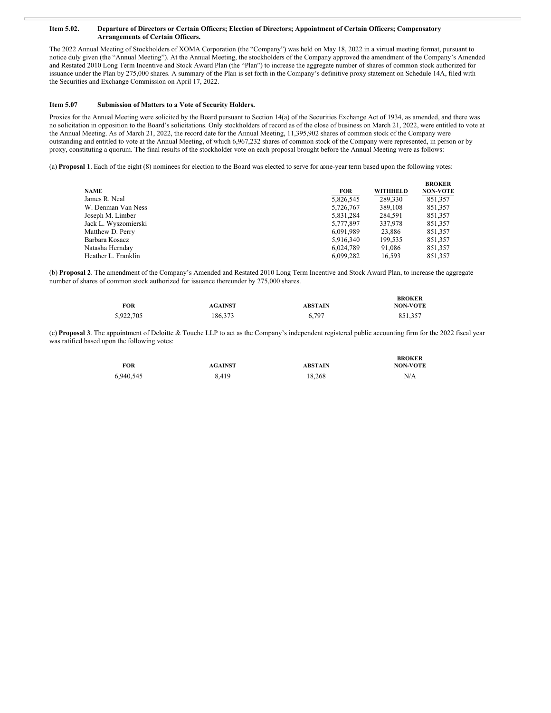#### Item 5.02. Departure of Directors or Certain Officers; Election of Directors; Appointment of Certain Officers; Compensatory **Arrangements of Certain Officers.**

The 2022 Annual Meeting of Stockholders of XOMA Corporation (the "Company") was held on May 18, 2022 in a virtual meeting format, pursuant to notice duly given (the "Annual Meeting"). At the Annual Meeting, the stockholders of the Company approved the amendment of the Company's Amended and Restated 2010 Long Term Incentive and Stock Award Plan (the "Plan") to increase the aggregate number of shares of common stock authorized for issuance under the Plan by 275,000 shares. A summary of the Plan is set forth in the Company's definitive proxy statement on Schedule 14A, filed with the Securities and Exchange Commission on April 17, 2022.

#### **Item 5.07 Submission of Matters to a Vote of Security Holders.**

Proxies for the Annual Meeting were solicited by the Board pursuant to Section 14(a) of the Securities Exchange Act of 1934, as amended, and there was no solicitation in opposition to the Board's solicitations. Only stockholders of record as of the close of business on March 21, 2022, were entitled to vote at the Annual Meeting. As of March 21, 2022, the record date for the Annual Meeting, 11,395,902 shares of common stock of the Company were outstanding and entitled to vote at the Annual Meeting, of which 6,967,232 shares of common stock of the Company were represented, in person or by proxy, constituting a quorum. The final results of the stockholder vote on each proposal brought before the Annual Meeting were as follows:

(a) **Proposal 1**. Each of the eight (8) nominees for election to the Board was elected to serve for aone-year term based upon the following votes:

|                      |            |                 | <b>BROKER</b>   |
|----------------------|------------|-----------------|-----------------|
| <b>NAME</b>          | <b>FOR</b> | <b>WITHHELD</b> | <b>NON-VOTE</b> |
| James R. Neal        | 5,826,545  | 289,330         | 851,357         |
| W. Denman Van Ness   | 5,726,767  | 389,108         | 851,357         |
| Joseph M. Limber     | 5,831,284  | 284.591         | 851,357         |
| Jack L. Wyszomierski | 5,777,897  | 337,978         | 851,357         |
| Matthew D. Perry     | 6,091,989  | 23,886          | 851,357         |
| Barbara Kosacz       | 5.916.340  | 199.535         | 851,357         |
| Natasha Hernday      | 6.024.789  | 91.086          | 851,357         |
| Heather L. Franklin  | 6.099.282  | 16.593          | 851.357         |

(b) **Proposal 2**. The amendment of the Company's Amended and Restated 2010 Long Term Incentive and Stock Award Plan, to increase the aggregate number of shares of common stock authorized for issuance thereunder by 275,000 shares.

| FOR       | <b>AGAINST</b> | <b>ABSTAIN</b> | <b>BROKER</b><br><b>NON-VOTE</b> |
|-----------|----------------|----------------|----------------------------------|
| 5,922,705 | 186.373        | 6.797          | 851.357                          |

(c) **Proposal 3**. The appointment of Deloitte & Touche LLP to act as the Company's independent registered public accounting firm for the 2022 fiscal year was ratified based upon the following votes:

| FOR       | <b>AGAINST</b> | <b>ABSTAIN</b> | <b>BROKER</b><br><b>NON-VOTE</b> |
|-----------|----------------|----------------|----------------------------------|
| 6,940,545 | 8.419          | 18.268         | N/A                              |